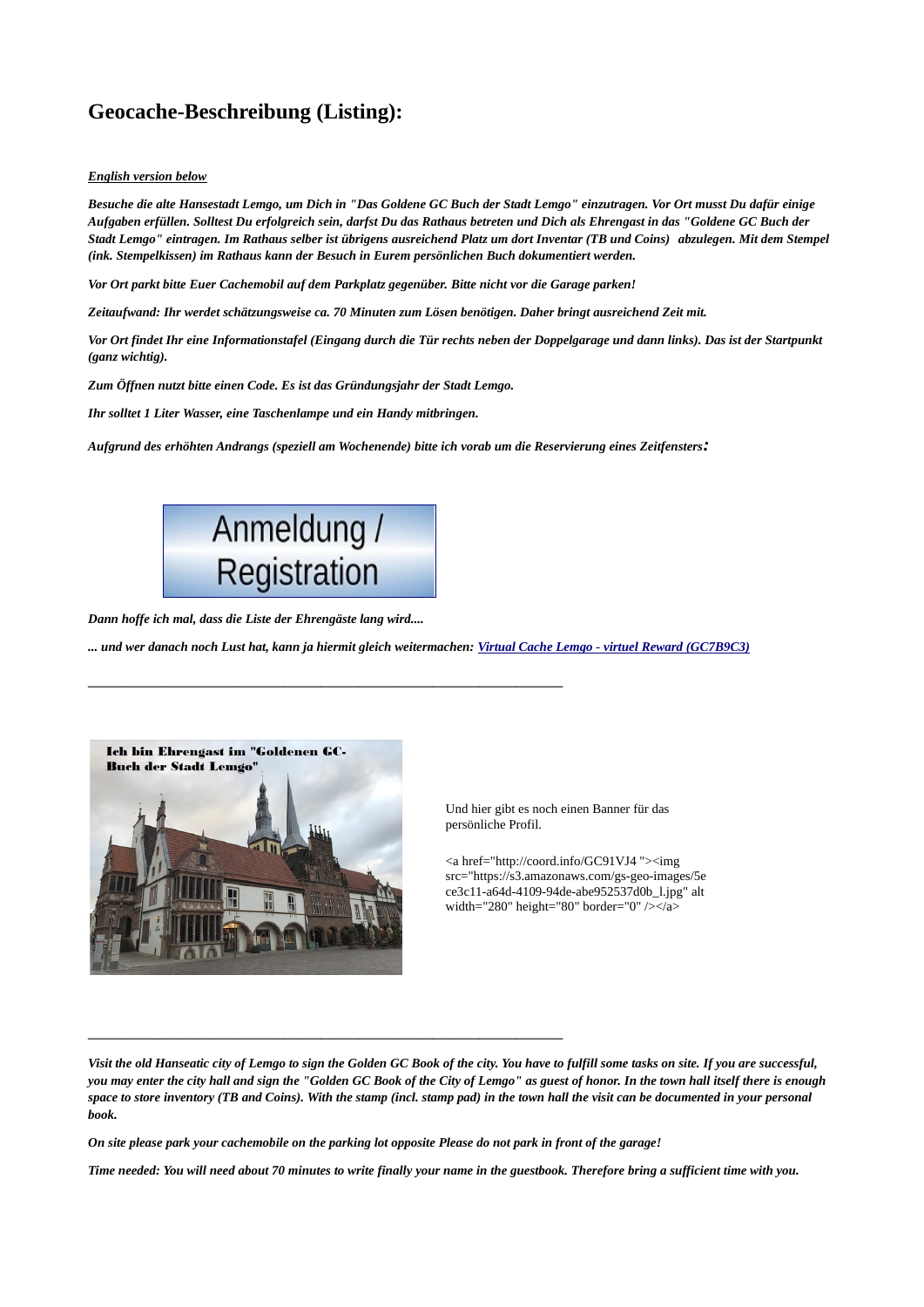## **Geocache-Beschreibung (Listing):**

## *English version below*

*Besuche die alte Hansestadt Lemgo, um Dich in "Das Goldene GC Buch der Stadt Lemgo" einzutragen. Vor Ort musst Du dafür einige Aufgaben erfüllen. Solltest Du erfolgreich sein, darfst Du das Rathaus betreten und Dich als Ehrengast in das "Goldene GC Buch der Stadt Lemgo" eintragen. Im Rathaus selber ist übrigens ausreichend Platz um dort Inventar (TB und Coins) abzulegen. Mit dem Stempel (ink. Stempelkissen) im Rathaus kann der Besuch in Eurem persönlichen Buch dokumentiert werden.*

*Vor Ort parkt bitte Euer Cachemobil auf dem Parkplatz gegenüber. Bitte nicht vor die Garage parken!*

*Zeitaufwand: Ihr werdet schätzungsweise ca. 70 Minuten zum Lösen benötigen. Daher bringt ausreichend Zeit mit.*

*Vor Ort findet Ihr eine Informationstafel (Eingang durch die Tür rechts neben der Doppelgarage und dann links). Das ist der Startpunkt (ganz wichtig).*

*Zum Öffnen nutzt bitte einen Code. Es ist das Gründungsjahr der Stadt Lemgo.*

*Ihr solltet 1 Liter Wasser, eine Taschenlampe und ein Handy mitbringen.*

*Aufgrund des erhöhten Andrangs (speziell am Wochenende) bitte ich vorab um die Reservierung eines Zeitfensters:*



\_\_\_\_\_\_\_\_\_\_\_\_\_\_\_\_\_\_\_\_\_\_\_\_\_\_\_\_\_\_\_\_\_\_\_\_\_\_\_\_\_\_\_\_\_\_\_\_\_\_\_

\_\_\_\_\_\_\_\_\_\_\_\_\_\_\_\_\_\_\_\_\_\_\_\_\_\_\_\_\_\_\_\_\_\_\_\_\_\_\_\_\_\_\_\_\_\_\_\_\_\_\_

*Dann hoffe ich mal, dass die Liste der Ehrengäste lang wird....*

*... und wer danach noch Lust hat, kann ja hiermit gleich weitermachen: [Virtual Cache Lemgo - virtuel Reward \(GC7B9C3\)](https://coord.info/GC7B9C3)*



Und hier gibt es noch einen Banner für das persönliche Profil.

<a href="http://coord.info/GC91VJ4 "><img src="https://s3.amazonaws.com/gs-geo-images/5e ce3c11-a64d-4109-94de-abe952537d0b\_l.jpg" alt width="280" height="80" border="0" /></a

*Visit the old Hanseatic city of Lemgo to sign the Golden GC Book of the city. You have to fulfill some tasks on site. If you are successful, you may enter the city hall and sign the "Golden GC Book of the City of Lemgo" as guest of honor. In the town hall itself there is enough space to store inventory (TB and Coins). With the stamp (incl. stamp pad) in the town hall the visit can be documented in your personal book.*

*On site please park your cachemobile on the parking lot opposite Please do not park in front of the garage!*

*Time needed: You will need about 70 minutes to write finally your name in the guestbook. Therefore bring a sufficient time with you.*